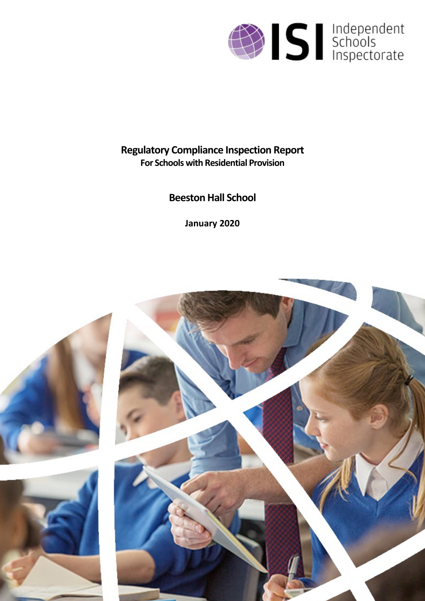

# **Regulatory Compliance Inspection Report For Schools with Residential Provision**

# **Beeston Hall School**

**January 2020**

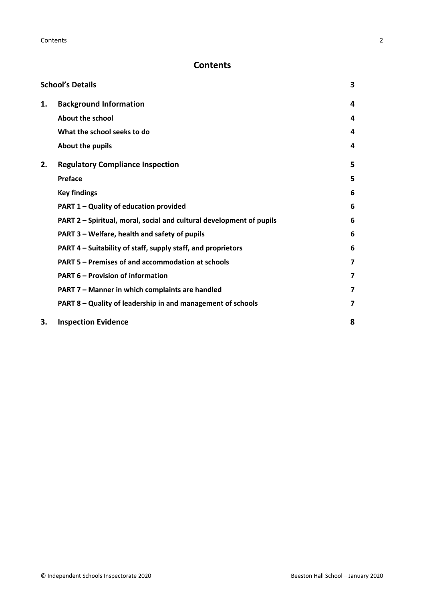# **Contents**

| <b>School's Details</b> |                                                                      |   |
|-------------------------|----------------------------------------------------------------------|---|
| 1.                      | <b>Background Information</b>                                        | 4 |
|                         | <b>About the school</b>                                              | 4 |
|                         | What the school seeks to do                                          | 4 |
|                         | About the pupils                                                     | 4 |
| 2.                      | <b>Regulatory Compliance Inspection</b>                              | 5 |
|                         | <b>Preface</b>                                                       | 5 |
|                         | <b>Key findings</b>                                                  | 6 |
|                         | PART 1 - Quality of education provided                               | 6 |
|                         | PART 2 - Spiritual, moral, social and cultural development of pupils | 6 |
|                         | PART 3 - Welfare, health and safety of pupils                        | 6 |
|                         | PART 4 – Suitability of staff, supply staff, and proprietors         | 6 |
|                         | PART 5 - Premises of and accommodation at schools                    | 7 |
|                         | <b>PART 6 - Provision of information</b>                             | 7 |
|                         | PART 7 - Manner in which complaints are handled                      | 7 |
|                         | PART 8 - Quality of leadership in and management of schools          | 7 |
| 3.                      | <b>Inspection Evidence</b>                                           | 8 |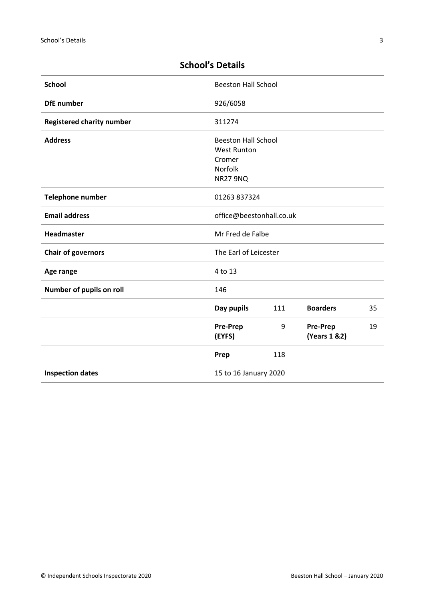| <b>School</b>                    | <b>Beeston Hall School</b> |     |                                  |    |
|----------------------------------|----------------------------|-----|----------------------------------|----|
| <b>DfE</b> number                | 926/6058                   |     |                                  |    |
| <b>Registered charity number</b> | 311274                     |     |                                  |    |
| <b>Address</b>                   | <b>Beeston Hall School</b> |     |                                  |    |
|                                  | <b>West Runton</b>         |     |                                  |    |
|                                  | Cromer                     |     |                                  |    |
|                                  | Norfolk                    |     |                                  |    |
|                                  | <b>NR27 9NQ</b>            |     |                                  |    |
| <b>Telephone number</b>          | 01263 837324               |     |                                  |    |
| <b>Email address</b>             | office@beestonhall.co.uk   |     |                                  |    |
| Headmaster                       | Mr Fred de Falbe           |     |                                  |    |
| <b>Chair of governors</b>        | The Earl of Leicester      |     |                                  |    |
| Age range                        | 4 to 13                    |     |                                  |    |
| Number of pupils on roll         | 146                        |     |                                  |    |
|                                  | Day pupils                 | 111 | <b>Boarders</b>                  | 35 |
|                                  | <b>Pre-Prep</b><br>(EYFS)  | 9   | <b>Pre-Prep</b><br>(Years 1 & 2) | 19 |
|                                  | Prep                       | 118 |                                  |    |
| <b>Inspection dates</b>          | 15 to 16 January 2020      |     |                                  |    |

# <span id="page-2-0"></span>**School's Details**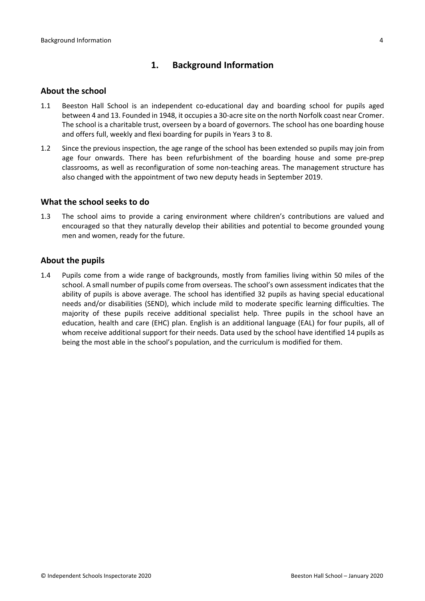# <span id="page-3-0"></span>**1. Background Information**

#### <span id="page-3-1"></span>**About the school**

- 1.1 Beeston Hall School is an independent co-educational day and boarding school for pupils aged between 4 and 13. Founded in 1948, it occupies a 30-acre site on the north Norfolk coast near Cromer. The school is a charitable trust, overseen by a board of governors. The school has one boarding house and offers full, weekly and flexi boarding for pupils in Years 3 to 8.
- 1.2 Since the previous inspection, the age range of the school has been extended so pupils may join from age four onwards. There has been refurbishment of the boarding house and some pre-prep classrooms, as well as reconfiguration of some non-teaching areas. The management structure has also changed with the appointment of two new deputy heads in September 2019.

#### <span id="page-3-2"></span>**What the school seeks to do**

1.3 The school aims to provide a caring environment where children's contributions are valued and encouraged so that they naturally develop their abilities and potential to become grounded young men and women, ready for the future.

#### <span id="page-3-3"></span>**About the pupils**

1.4 Pupils come from a wide range of backgrounds, mostly from families living within 50 miles of the school. A small number of pupils come from overseas. The school's own assessment indicates that the ability of pupils is above average. The school has identified 32 pupils as having special educational needs and/or disabilities (SEND), which include mild to moderate specific learning difficulties. The majority of these pupils receive additional specialist help. Three pupils in the school have an education, health and care (EHC) plan. English is an additional language (EAL) for four pupils, all of whom receive additional support for their needs. Data used by the school have identified 14 pupils as being the most able in the school's population, and the curriculum is modified for them.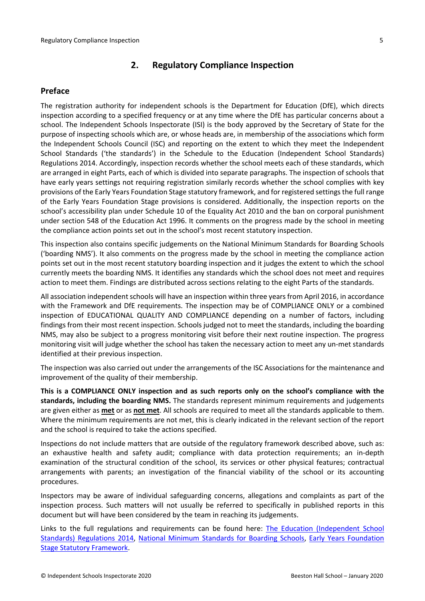# <span id="page-4-0"></span>**2. Regulatory Compliance Inspection**

#### <span id="page-4-1"></span>**Preface**

The registration authority for independent schools is the Department for Education (DfE), which directs inspection according to a specified frequency or at any time where the DfE has particular concerns about a school. The Independent Schools Inspectorate (ISI) is the body approved by the Secretary of State for the purpose of inspecting schools which are, or whose heads are, in membership of the associations which form the Independent Schools Council (ISC) and reporting on the extent to which they meet the Independent School Standards ('the standards') in the Schedule to the Education (Independent School Standards) Regulations 2014. Accordingly, inspection records whether the school meets each of these standards, which are arranged in eight Parts, each of which is divided into separate paragraphs. The inspection of schools that have early years settings not requiring registration similarly records whether the school complies with key provisions of the Early Years Foundation Stage statutory framework, and for registered settings the full range of the Early Years Foundation Stage provisions is considered. Additionally, the inspection reports on the school's accessibility plan under Schedule 10 of the Equality Act 2010 and the ban on corporal punishment under section 548 of the Education Act 1996. It comments on the progress made by the school in meeting the compliance action points set out in the school's most recent statutory inspection.

This inspection also contains specific judgements on the National Minimum Standards for Boarding Schools ('boarding NMS'). It also comments on the progress made by the school in meeting the compliance action points set out in the most recent statutory boarding inspection and it judges the extent to which the school currently meets the boarding NMS. It identifies any standards which the school does not meet and requires action to meet them. Findings are distributed across sections relating to the eight Parts of the standards.

All association independent schools will have an inspection within three yearsfrom April 2016, in accordance with the Framework and DfE requirements. The inspection may be of COMPLIANCE ONLY or a combined inspection of EDUCATIONAL QUALITY AND COMPLIANCE depending on a number of factors, including findings from their most recent inspection. Schools judged not to meet the standards, including the boarding NMS, may also be subject to a progress monitoring visit before their next routine inspection. The progress monitoring visit will judge whether the school has taken the necessary action to meet any un-met standards identified at their previous inspection.

The inspection was also carried out under the arrangements of the ISC Associations for the maintenance and improvement of the quality of their membership.

**This is a COMPLIANCE ONLY inspection and as such reports only on the school's compliance with the standards, including the boarding NMS.** The standards represent minimum requirements and judgements are given either as **met** or as **not met**. All schools are required to meet all the standards applicable to them. Where the minimum requirements are not met, this is clearly indicated in the relevant section of the report and the school is required to take the actions specified.

Inspections do not include matters that are outside of the regulatory framework described above, such as: an exhaustive health and safety audit; compliance with data protection requirements; an in-depth examination of the structural condition of the school, its services or other physical features; contractual arrangements with parents; an investigation of the financial viability of the school or its accounting procedures.

Inspectors may be aware of individual safeguarding concerns, allegations and complaints as part of the inspection process. Such matters will not usually be referred to specifically in published reports in this document but will have been considered by the team in reaching its judgements.

Links to the full regulations and requirements can be found here: The Education [\(Independent](http://www.legislation.gov.uk/uksi/2014/3283/contents/made) School Standards) [Regulations](http://www.legislation.gov.uk/uksi/2014/3283/contents/made) 2014, National Minimum [Standards](https://www.gov.uk/government/uploads/system/uploads/attachment_data/file/416186/20150319_nms_bs_standards.pdf) for Boarding Schools, Early Years [Foundation](https://www.gov.uk/government/publications/early-years-foundation-stage-framework--2) Stage Statutory [Framework.](https://www.gov.uk/government/publications/early-years-foundation-stage-framework--2)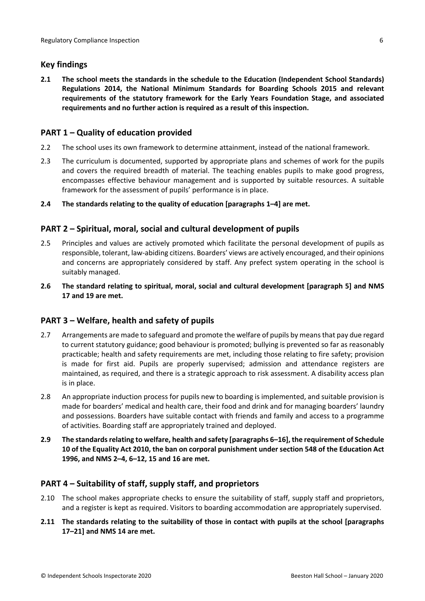### <span id="page-5-0"></span>**Key findings**

**2.1 The school meets the standards in the schedule to the Education (Independent School Standards) Regulations 2014, the National Minimum Standards for Boarding Schools 2015 and relevant requirements of the statutory framework for the Early Years Foundation Stage, and associated requirements and no further action is required as a result of this inspection.**

# <span id="page-5-1"></span>**PART 1 – Quality of education provided**

- 2.2 The school uses its own framework to determine attainment, instead of the national framework.
- 2.3 The curriculum is documented, supported by appropriate plans and schemes of work for the pupils and covers the required breadth of material. The teaching enables pupils to make good progress, encompasses effective behaviour management and is supported by suitable resources. A suitable framework for the assessment of pupils' performance is in place.
- **2.4 The standards relating to the quality of education [paragraphs 1–4] are met.**

### <span id="page-5-2"></span>**PART 2 – Spiritual, moral, social and cultural development of pupils**

- 2.5 Principles and values are actively promoted which facilitate the personal development of pupils as responsible, tolerant, law-abiding citizens. Boarders' views are actively encouraged, and their opinions and concerns are appropriately considered by staff. Any prefect system operating in the school is suitably managed.
- **2.6 The standard relating to spiritual, moral, social and cultural development [paragraph 5] and NMS 17 and 19 are met.**

#### <span id="page-5-3"></span>**PART 3 – Welfare, health and safety of pupils**

- 2.7 Arrangements are made to safeguard and promote the welfare of pupils by means that pay due regard to current statutory guidance; good behaviour is promoted; bullying is prevented so far as reasonably practicable; health and safety requirements are met, including those relating to fire safety; provision is made for first aid. Pupils are properly supervised; admission and attendance registers are maintained, as required, and there is a strategic approach to risk assessment. A disability access plan is in place.
- 2.8 An appropriate induction process for pupils new to boarding is implemented, and suitable provision is made for boarders' medical and health care, their food and drink and for managing boarders' laundry and possessions. Boarders have suitable contact with friends and family and access to a programme of activities. Boarding staff are appropriately trained and deployed.
- **2.9 The standardsrelating to welfare, health and safety [paragraphs 6–16], the requirement of Schedule 10 of the Equality Act 2010, the ban on corporal punishment under section 548 of the Education Act 1996, and NMS 2–4, 6–12, 15 and 16 are met.**

# <span id="page-5-4"></span>**PART 4 – Suitability of staff, supply staff, and proprietors**

- 2.10 The school makes appropriate checks to ensure the suitability of staff, supply staff and proprietors, and a register is kept as required. Visitors to boarding accommodation are appropriately supervised.
- **2.11 The standards relating to the suitability of those in contact with pupils at the school [paragraphs 17–21] and NMS 14 are met.**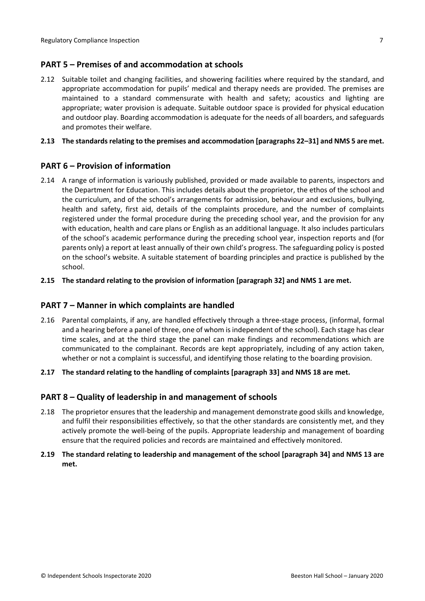#### <span id="page-6-0"></span>**PART 5 – Premises of and accommodation at schools**

2.12 Suitable toilet and changing facilities, and showering facilities where required by the standard, and appropriate accommodation for pupils' medical and therapy needs are provided. The premises are maintained to a standard commensurate with health and safety; acoustics and lighting are appropriate; water provision is adequate. Suitable outdoor space is provided for physical education and outdoor play. Boarding accommodation is adequate for the needs of all boarders, and safeguards and promotes their welfare.

#### **2.13 The standardsrelating to the premises and accommodation [paragraphs 22–31] and NMS 5 are met.**

#### <span id="page-6-1"></span>**PART 6 – Provision of information**

2.14 A range of information is variously published, provided or made available to parents, inspectors and the Department for Education. This includes details about the proprietor, the ethos of the school and the curriculum, and of the school's arrangements for admission, behaviour and exclusions, bullying, health and safety, first aid, details of the complaints procedure, and the number of complaints registered under the formal procedure during the preceding school year, and the provision for any with education, health and care plans or English as an additional language. It also includes particulars of the school's academic performance during the preceding school year, inspection reports and (for parents only) a report at least annually of their own child's progress. The safeguarding policy is posted on the school's website. A suitable statement of boarding principles and practice is published by the school.

#### **2.15 The standard relating to the provision of information [paragraph 32] and NMS 1 are met.**

#### <span id="page-6-2"></span>**PART 7 – Manner in which complaints are handled**

2.16 Parental complaints, if any, are handled effectively through a three-stage process, (informal, formal and a hearing before a panel of three, one of whom isindependent of the school). Each stage has clear time scales, and at the third stage the panel can make findings and recommendations which are communicated to the complainant. Records are kept appropriately, including of any action taken, whether or not a complaint is successful, and identifying those relating to the boarding provision.

#### **2.17 The standard relating to the handling of complaints [paragraph 33] and NMS 18 are met.**

#### <span id="page-6-3"></span>**PART 8 – Quality of leadership in and management of schools**

2.18 The proprietor ensures that the leadership and management demonstrate good skills and knowledge, and fulfil their responsibilities effectively, so that the other standards are consistently met, and they actively promote the well-being of the pupils. Appropriate leadership and management of boarding ensure that the required policies and records are maintained and effectively monitored.

#### **2.19 The standard relating to leadership and management of the school [paragraph 34] and NMS 13 are met.**